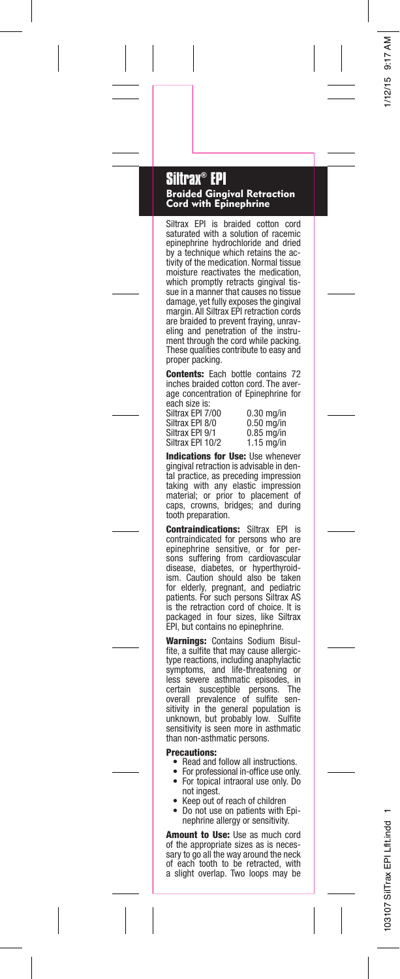## **Siltrax® EPI**

Braided Gingival Retraction Cord with Epinephrine

Siltrax EPI is braided cotton cord saturated with a solution of racemic epinephrine hydrochloride and dried by a technique which retains the activity of the medication. Normal tissue moisture reactivates the medication, which promptly retracts gingival tis-sue in a manner that causes no tissue damage, yet fully exposes the gingival margin. All Siltrax EPI retraction cords are braided to prevent fraying, unraveling and penetration of the instrument through the cord while packing. These qualities contribute to easy and proper packing.

Contents: Each bottle contains 72 inches braided cotton cord. The average concentration of Epinephrine for

each size is: Siltrax EPI 7/00 0.30 mg/in Siltrax EPI 8/0 0.50 mg/in<br>Siltrax EPI 9/1 0.85 mg/in Siltrax EPI 9/1 0.85 mg/in<br>Siltrax EPI 10/2 1.15 mg/in Siltrax EPI 10/2

Indications for Use: Use whenever gingival retraction is advisable in dental practice, as preceding impression taking with any elastic impression material; or prior to placement of caps, crowns, bridges; and during tooth preparation.

**Contraindications: Siltrax EPI is** contraindicated for persons who are epinephrine sensitive, or for persons suffering from cardiovascular<br>disease, diabetes, or hyperthyroidism. Caution should also be taken for elderly, pregnant, and pediatric patients. For such persons Siltrax AS is the retraction cord of choice. It is packaged in four sizes, like Siltrax EPI, but contains no epinephrine.

Warnings: Contains Sodium Bisulfite, a sulfite that may cause allergictype reactions, including anaphylactic symptoms, and life-threatening or less severe asthmatic episodes, certain susceptible persons. The overall prevalence of sulfite sen-sitivity in the general population is unknown, but probably low. Sulfite sensitivity is seen more in asthmatic than non-asthmatic persons.

## Precautions:

- •Read and follow all instructions.
- • For professional in-office use only. •For topical intraoral use only. Do not ingest.
- •Keep out of reach of children
- • Do not use on patients with Epinephrine allergy or sensitivity.

Amount to Use: Use as much cord of the appropriate sizes as is necessary to go all the way around the neck of each tooth to be retracted, with a slight overlap. Two loops may be